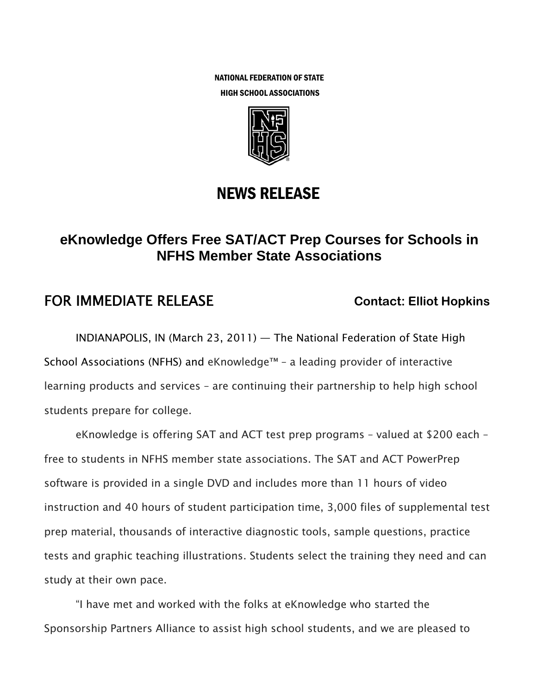NATIONAL FEDERATION OF STATE HIGH SCHOOL ASSOCIATIONS



## NEWS RELEASE

## **eKnowledge Offers Free SAT/ACT Prep Courses for Schools in NFHS Member State Associations**

## **FOR IMMEDIATE RELEASE Contact: Elliot Hopkins**

INDIANAPOLIS, IN (March 23, 2011) — The National Federation of State High School Associations (NFHS) and eKnowledge™ – a leading provider of interactive learning products and services – are continuing their partnership to help high school students prepare for college.

eKnowledge is offering SAT and ACT test prep programs – valued at \$200 each – free to students in NFHS member state associations. The SAT and ACT PowerPrep software is provided in a single DVD and includes more than 11 hours of video instruction and 40 hours of student participation time, 3,000 files of supplemental test prep material, thousands of interactive diagnostic tools, sample questions, practice tests and graphic teaching illustrations. Students select the training they need and can study at their own pace.

"I have met and worked with the folks at eKnowledge who started the Sponsorship Partners Alliance to assist high school students, and we are pleased to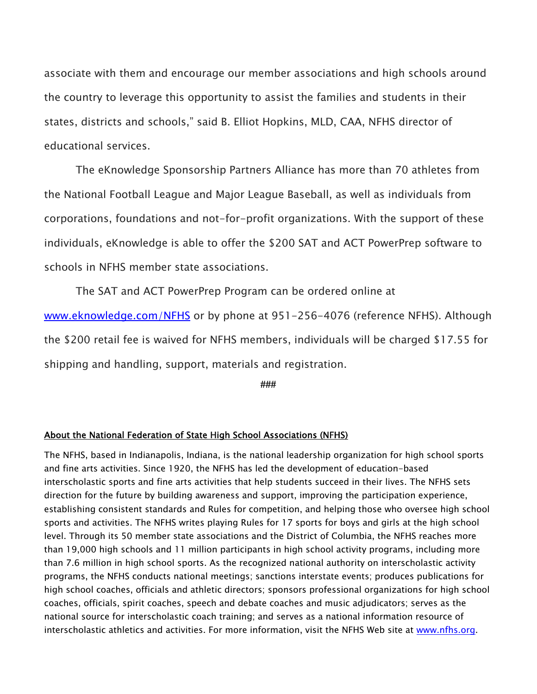associate with them and encourage our member associations and high schools around the country to leverage this opportunity to assist the families and students in their states, districts and schools," said B. Elliot Hopkins, MLD, CAA, NFHS director of educational services.

The eKnowledge Sponsorship Partners Alliance has more than 70 athletes from the National Football League and Major League Baseball, as well as individuals from corporations, foundations and not-for-profit organizations. With the support of these individuals, eKnowledge is able to offer the \$200 SAT and ACT PowerPrep software to schools in NFHS member state associations.

The SAT and ACT PowerPrep Program can be ordered online at www.eknowledge.com/NFHS or by phone at 951-256-4076 (reference NFHS). Although the \$200 retail fee is waived for NFHS members, individuals will be charged \$17.55 for shipping and handling, support, materials and registration.

**###** 

## About the National Federation of State High School Associations (NFHS)

The NFHS, based in Indianapolis, Indiana, is the national leadership organization for high school sports and fine arts activities. Since 1920, the NFHS has led the development of education-based interscholastic sports and fine arts activities that help students succeed in their lives. The NFHS sets direction for the future by building awareness and support, improving the participation experience, establishing consistent standards and Rules for competition, and helping those who oversee high school sports and activities. The NFHS writes playing Rules for 17 sports for boys and girls at the high school level. Through its 50 member state associations and the District of Columbia, the NFHS reaches more than 19,000 high schools and 11 million participants in high school activity programs, including more than 7.6 million in high school sports. As the recognized national authority on interscholastic activity programs, the NFHS conducts national meetings; sanctions interstate events; produces publications for high school coaches, officials and athletic directors; sponsors professional organizations for high school coaches, officials, spirit coaches, speech and debate coaches and music adjudicators; serves as the national source for interscholastic coach training; and serves as a national information resource of interscholastic athletics and activities. For more information, visit the NFHS Web site at www.nfhs.org.